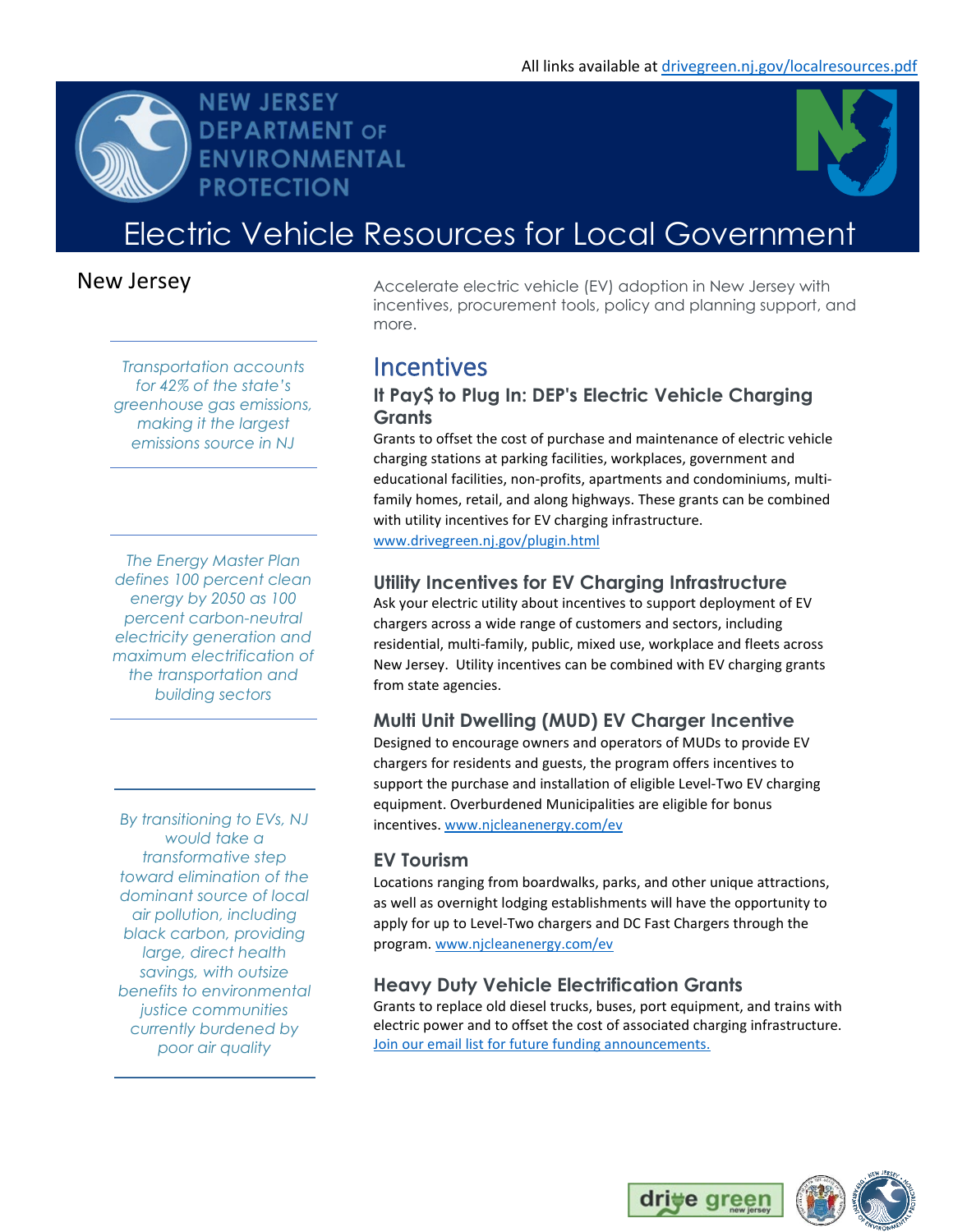



# Electric Vehicle Resources for Local Government

## New Jersey

*Transportation accounts for 42% of the state's greenhouse gas emissions, making it the largest emissions source in NJ*

**NEW JERSEY** 

**PROTECTION** 

**DEPARTMENT OF** ENVIRONMENTAL

*The Energy Master Plan defines 100 percent clean energy by 2050 as 100 percent carbon-neutral electricity generation and maximum electrification of the transportation and building sectors*

*By transitioning to EVs, NJ would take a transformative step toward elimination of the dominant source of local air pollution, including black carbon, providing large, direct health savings, with outsize benefits to environmental justice communities currently burdened by poor air quality*

Accelerate electric vehicle (EV) adoption in New Jersey with incentives, procurement tools, policy and planning support, and more.

## **Incentives**

### **It Pay\$ to Plug In: DEP's Electric Vehicle Charging Grants**

Grants to offset the cost of purchase and maintenance of electric vehicle charging stations at parking facilities, workplaces, government and educational facilities, non-profits, apartments and condominiums, multifamily homes, retail, and along highways. These grants can be combined with utility incentives for EV charging infrastructure. [www.drivegreen.nj.gov/plugin.html](http://www.drivegreen.nj.gov/plugin.html)

### **Utility Incentives for EV Charging Infrastructure**

Ask your electric utility about incentives to support deployment of EV chargers across a wide range of customers and sectors, including residential, multi-family, public, mixed use, workplace and fleets across New Jersey. Utility incentives can be combined with EV charging grants from state agencies.

### **Multi Unit Dwelling (MUD) EV Charger Incentive**

Designed to encourage owners and operators of MUDs to provide EV chargers for residents and guests, the program offers incentives to support the purchase and installation of eligible Level-Two EV charging equipment. Overburdened Municipalities are eligible for bonus incentives. [www.njcleanenergy.com/ev](http://www.njcleanenergy.com/ev)

### **EV Tourism**

Locations ranging from boardwalks, parks, and other unique attractions, as well as overnight lodging establishments will have the opportunity to apply for up to Level-Two chargers and DC Fast Chargers through the program. [www.njcleanenergy.com/ev](http://www.njcleanenergy.com/ev)

### **Heavy Duty Vehicle Electrification Grants**

Grants to replace old diesel trucks, buses, port equipment, and trains with electric power and to offset the cost of associated charging infrastructure. Join our email list [for future funding announcements.](https://public.govdelivery.com/accounts/NJDEP/subscriber/new?topic_id=NJDEP_195)

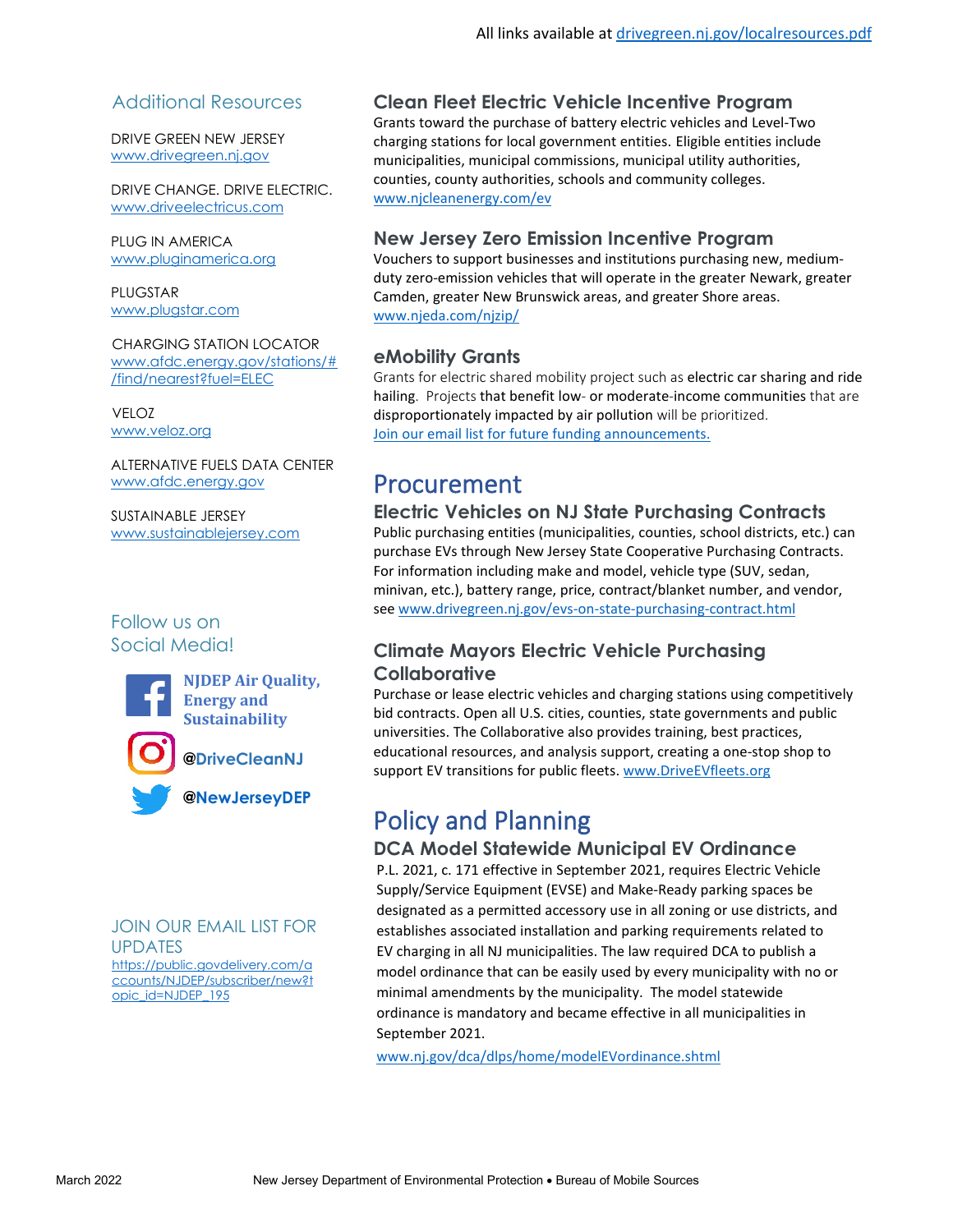### Additional Resources

DRIVE GREEN NEW JERSEY [www.drivegreen.nj.gov](http://www.drivegreen.nj.gov/)

DRIVE CHANGE. DRIVE ELECTRIC. [www.driveelectricus.com](http://www.driveelectricus.com/)

PLUG IN AMERICA [www.pluginamerica.org](http://www.pluginamerica.org/) 

PLUGSTAR [www.plugstar.com](http://www.plugstar.com/)

CHARGING STATION LOCATOR [www.afdc.energy.gov/stations/#](http://www.afdc.energy.gov/stations/#/find/nearest?fuel=ELEC) [/find/nearest?fuel=ELEC](http://www.afdc.energy.gov/stations/#/find/nearest?fuel=ELEC)

VELOZ [www.veloz.org](http://www.veloz.org/)

ALTERNATIVE FUELS DATA CENTER [www.afdc.energy.gov](http://www.afdc.energy.gov/)

SUSTAINABLE JERSEY [www.sustainablejersey.com](http://www.sustainablejersey.com/)

### Follow us on Social Media!





**[Sustainability](https://www.facebook.com/NJDEPAQES)  [@DriveCleanNJ](https://www.instagram.com/drivecleannj/)**



JOIN OUR EMAIL LIST FOR UPDATES [https://public.govdelivery.com/a](https://public.govdelivery.com/accounts/NJDEP/subscriber/new?topic_id=NJDEP_195) [ccounts/NJDEP/subscriber/new?t](https://public.govdelivery.com/accounts/NJDEP/subscriber/new?topic_id=NJDEP_195) [opic\\_id=NJDEP\\_195](https://public.govdelivery.com/accounts/NJDEP/subscriber/new?topic_id=NJDEP_195)

### **Clean Fleet Electric Vehicle Incentive Program**

Grants toward the purchase of battery electric vehicles and Level-Two charging stations for local government entities. Eligible entities include municipalities, municipal commissions, municipal utility authorities, counties, county authorities, schools and community colleges. [www.njcleanenergy.com/ev](http://www.njcleanenergy.com/ev)

### **New Jersey Zero Emission Incentive Program**

Vouchers to support businesses and institutions purchasing new, mediumduty zero-emission vehicles that will operate in the greater Newark, greater Camden, greater New Brunswick areas, and greater Shore areas. [www.njeda.com/njzip/](https://www.njeda.com/njzip/)

### **eMobility Grants**

Grants for electric shared mobility project such as electric car sharing and ride hailing. Projects that benefit low- or moderate-income communities that are disproportionately impacted by air pollution will be prioritized. [Join our email list for future funding announcements.](https://public.govdelivery.com/accounts/NJDEP/subscriber/new?topic_id=NJDEP_195)

## Procurement

### **Electric Vehicles on NJ State Purchasing Contracts**

Public purchasing entities (municipalities, counties, school districts, etc.) can purchase EVs through New Jersey State Cooperative Purchasing Contracts. For information including make and model, vehicle type (SUV, sedan, minivan, etc.), battery range, price, contract/blanket number, and vendor, see [www.drivegreen.nj.gov/evs-on-state-purchasing-contract.html](http://www.drivegreen.nj.gov/evs-on-state-purchasing-contract.html) 

### **Climate Mayors Electric Vehicle Purchasing Collaborative**

Purchase or lease electric vehicles and charging stations using competitively bid contracts. Open all U.S. cities, counties, state governments and public universities. The Collaborative also provides training, best practices, educational resources, and analysis support, creating a one-stop shop to support EV transitions for public fleets. www.DriveEVfleets.org

## Policy and Planning

### **DCA Model Statewide Municipal EV Ordinance**

P.L. 2021, c. 171 effective in September 2021, requires Electric Vehicle Supply/Service Equipment (EVSE) and Make-Ready parking spaces be designated as a permitted accessory use in all zoning or use districts, and establishes associated installation and parking requirements related to EV charging in all NJ municipalities. The law required DCA to publish a model ordinance that can be easily used by every municipality with no or minimal amendments by the municipality. The model statewide ordinance is mandatory and became effective in all municipalities in September 2021.

[www.nj.gov/dca/dlps/home/modelEVordinance.shtml](https://www.nj.gov/dca/dlps/home/modelEVordinance.shtml)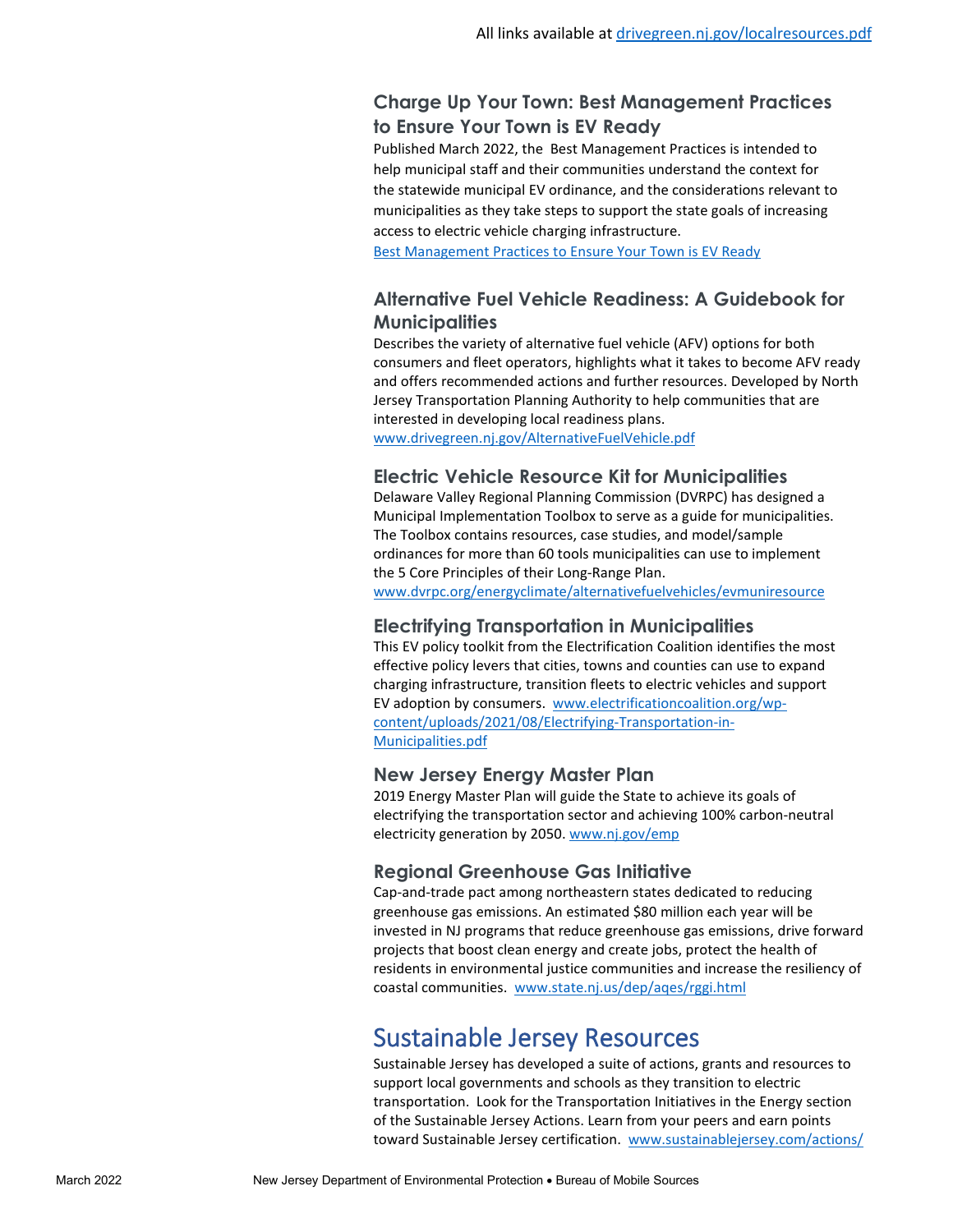### **Charge Up Your Town: Best Management Practices to Ensure Your Town is EV Ready**

Published March 2022, the Best Management Practices is intended to help municipal staff and their communities understand the context for the statewide municipal EV ordinance, and the considerations relevant to municipalities as they take steps to support the state goals of increasing access to electric vehicle charging infrastructure.

[Best Management Practices to Ensure Your Town is EV Ready](https://www.nj.gov/dep/drivegreen/pdf/chargeupyourtown.pdf)

### **Alternative Fuel Vehicle Readiness: A Guidebook for Municipalities**

Describes the variety of alternative fuel vehicle (AFV) options for both consumers and fleet operators, highlights what it takes to become AFV ready and offers recommended actions and further resources. Developed by North Jersey Transportation Planning Authority to help communities that are interested in developing local readiness plans.

www.drivegreen.nj.gov/AlternativeFuelVehicle.pdf

### **Electric Vehicle Resource Kit for Municipalities**

Delaware Valley Regional Planning Commission (DVRPC) has designed a Municipal Implementation Toolbox to serve as a guide for municipalities. The Toolbox contains resources, case studies, and model/sample ordinances for more than 60 tools municipalities can use to implement the 5 Core Principles of their Long-Range Plan.

[www.dvrpc.org/energyclimate/alternativefuelvehicles/evmuniresource](http://www.dvrpc.org/energyclimate/alternativefuelvehicles/evmuniresource)

#### **Electrifying Transportation in Municipalities**

This EV policy toolkit from the Electrification Coalition identifies the most effective policy levers that cities, towns and counties can use to expand charging infrastructure, transition fleets to electric vehicles and support EV adoption by consumers. [www.electrificationcoalition.org/wp](http://www.electrificationcoalition.org/wp-content/uploads/2021/08/Electrifying-Transportation-in-Municipalities.pdf)[content/uploads/2021/08/Electrifying-Transportation-in-](http://www.electrificationcoalition.org/wp-content/uploads/2021/08/Electrifying-Transportation-in-Municipalities.pdf)[Municipalities.pdf](http://www.electrificationcoalition.org/wp-content/uploads/2021/08/Electrifying-Transportation-in-Municipalities.pdf) 

#### **New Jersey Energy Master Plan**

2019 Energy Master Plan will guide the State to achieve its goals of electrifying the transportation sector and achieving 100% carbon-neutral electricity generation by 2050. [www.nj.gov/emp](https://www.nj.gov/emp/)

#### **Regional Greenhouse Gas Initiative**

Cap-and-trade pact among northeastern states dedicated to reducing greenhouse gas emissions. An estimated \$80 million each year will be invested in NJ programs that reduce greenhouse gas emissions, drive forward projects that boost clean energy and create jobs, protect the health of residents in environmental justice communities and increase the resiliency of coastal communities. [www.state.nj.us/dep/aqes/rggi.html](http://www.state.nj.us/dep/aqes/rggi.html)

## Sustainable Jersey Resources

Sustainable Jersey has developed a suite of actions, grants and resources to support local governments and schools as they transition to electric transportation. Look for the Transportation Initiatives in the Energy section of the Sustainable Jersey Actions. Learn from your peers and earn points toward Sustainable Jersey certification. [www.sustainablejersey.com/actions/](http://www.sustainablejersey.com/actions/)